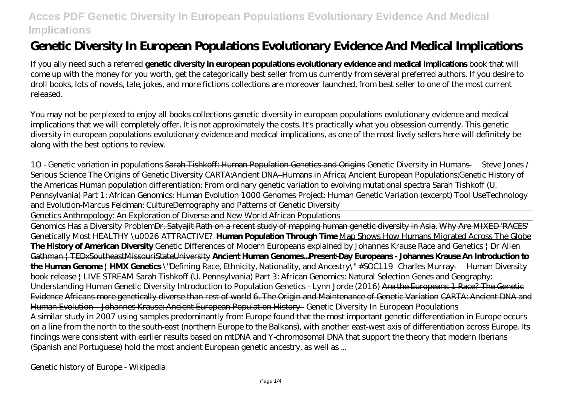# **Genetic Diversity In European Populations Evolutionary Evidence And Medical Implications**

If you ally need such a referred **genetic diversity in european populations evolutionary evidence and medical implications** book that will come up with the money for you worth, get the categorically best seller from us currently from several preferred authors. If you desire to droll books, lots of novels, tale, jokes, and more fictions collections are moreover launched, from best seller to one of the most current released.

You may not be perplexed to enjoy all books collections genetic diversity in european populations evolutionary evidence and medical implications that we will completely offer. It is not approximately the costs. It's practically what you obsession currently. This genetic diversity in european populations evolutionary evidence and medical implications, as one of the most lively sellers here will definitely be along with the best options to review.

*1O - Genetic variation in populations* Sarah Tishkoff: Human Population Genetics and Origins *Genetic Diversity in Humans — Steve Jones / Serious Science The Origins of Genetic Diversity CARTA:Ancient DNA–Humans in Africa; Ancient European Populations;Genetic History of the Americas* Human population differentiation: From ordinary genetic variation to evolving mutational spectra Sarah Tishkoff (U. Pennsylvania) Part 1: African Genomics: Human Evolution 1000 Genomes Project: Human Genetic Variation (excerpt) Tool UseTechnology and Evolution-Marcus Feldman: CultureDemography and Patterns of Genetic Diversity

Genetics Anthropology: An Exploration of Diverse and New World African Populations

Genomics Has a Diversity ProblemDr. Satyajit Rath on a recent study of mapping human genetic diversity in Asia. Why Are MIXED 'RACES' Genetically Most HEALTHY \u0026 ATTRACTIVE? **Human Population Through Time** Map Shows How Humans Migrated Across The Globe **The History of American Diversity** Genetic Differences of Modern Europeans explained by Johannes Krause Race and Genetics | Dr Allen Gathman | TEDxSoutheastMissouriStateUniversity **Ancient Human Genomes...Present-Day Europeans - Johannes Krause An Introduction to the Human Genome | HMX Genetics** \"Defining Race, Ethnicity, Nationality, and Ancestry\" #SOC119 *Charles Murray — Human Diversity book release | LIVE STREAM* Sarah Tishkoff (U. Pennsylvania) Part 3: African Genomics: Natural Selection Genes and Geography: Understanding Human Genetic Diversity Introduction to Population Genetics - Lynn Jorde (2016) Are the Europeans 1 Race? The Genetic Evidence Africans more genetically diverse than rest of world 6. The Origin and Maintenance of Genetic Variation CARTA: Ancient DNA and Human Evolution – Johannes Krause: Ancient European Population History *Genetic Diversity In European Populations* A similar study in 2007 using samples predominantly from Europe found that the most important genetic differentiation in Europe occurs on a line from the north to the south-east (northern Europe to the Balkans), with another east-west axis of differentiation across Europe. Its findings were consistent with earlier results based on mtDNA and Y-chromosomal DNA that support the theory that modern Iberians (Spanish and Portuguese) hold the most ancient European genetic ancestry, as well as ...

*Genetic history of Europe - Wikipedia*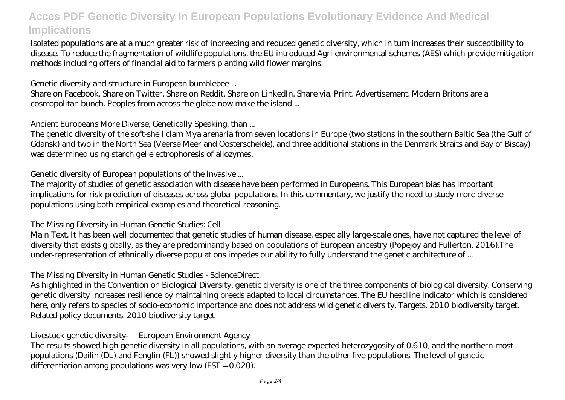Isolated populations are at a much greater risk of inbreeding and reduced genetic diversity, which in turn increases their susceptibility to disease. To reduce the fragmentation of wildlife populations, the EU introduced Agri-environmental schemes (AES) which provide mitigation methods including offers of financial aid to farmers planting wild flower margins.

#### *Genetic diversity and structure in European bumblebee ...*

Share on Facebook. Share on Twitter. Share on Reddit. Share on LinkedIn. Share via. Print. Advertisement. Modern Britons are a cosmopolitan bunch. Peoples from across the globe now make the island ...

#### *Ancient Europeans More Diverse, Genetically Speaking, than ...*

The genetic diversity of the soft-shell clam Mya arenaria from seven locations in Europe (two stations in the southern Baltic Sea (the Gulf of Gdansk) and two in the North Sea (Veerse Meer and Oosterschelde), and three additional stations in the Denmark Straits and Bay of Biscay) was determined using starch gel electrophoresis of allozymes.

#### *Genetic diversity of European populations of the invasive ...*

The majority of studies of genetic association with disease have been performed in Europeans. This European bias has important implications for risk prediction of diseases across global populations. In this commentary, we justify the need to study more diverse populations using both empirical examples and theoretical reasoning.

### *The Missing Diversity in Human Genetic Studies: Cell*

Main Text. It has been well documented that genetic studies of human disease, especially large-scale ones, have not captured the level of diversity that exists globally, as they are predominantly based on populations of European ancestry (Popejoy and Fullerton, 2016).The under-representation of ethnically diverse populations impedes our ability to fully understand the genetic architecture of ...

### *The Missing Diversity in Human Genetic Studies - ScienceDirect*

As highlighted in the Convention on Biological Diversity, genetic diversity is one of the three components of biological diversity. Conserving genetic diversity increases resilience by maintaining breeds adapted to local circumstances. The EU headline indicator which is considered here, only refers to species of socio-economic importance and does not address wild genetic diversity. Targets. 2010 biodiversity target. Related policy documents. 2010 biodiversity target

### *Livestock genetic diversity — European Environment Agency*

The results showed high genetic diversity in all populations, with an average expected heterozygosity of 0.610, and the northern-most populations (Dailin (DL) and Fenglin (FL)) showed slightly higher diversity than the other five populations. The level of genetic differentiation among populations was very low (FST = 0.020).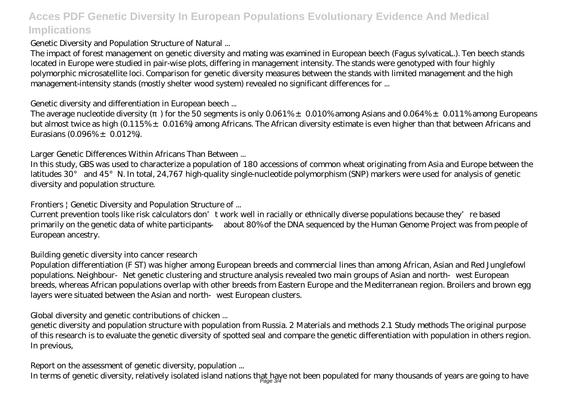#### *Genetic Diversity and Population Structure of Natural ...*

The impact of forest management on genetic diversity and mating was examined in European beech (Fagus sylvaticaL.). Ten beech stands located in Europe were studied in pair-wise plots, differing in management intensity. The stands were genotyped with four highly polymorphic microsatellite loci. Comparison for genetic diversity measures between the stands with limited management and the high management-intensity stands (mostly shelter wood system) revealed no significant differences for ...

#### *Genetic diversity and differentiation in European beech ...*

The average nucleotide diversity () for the 50 segments is only 0.061%  $\pm$  0.010% among Asians and 0.064%  $\pm$  0.011% among Europeans but almost twice as high (0.115% ± 0.016%) among Africans. The African diversity estimate is even higher than that between Africans and Eurasians  $(0.096\% \pm 0.012\%)$ .

#### *Larger Genetic Differences Within Africans Than Between ...*

In this study, GBS was used to characterize a population of 180 accessions of common wheat originating from Asia and Europe between the latitudes 30° and 45°N. In total, 24,767 high-quality single-nucleotide polymorphism (SNP) markers were used for analysis of genetic diversity and population structure.

### *Frontiers | Genetic Diversity and Population Structure of ...*

Current prevention tools like risk calculators don't work well in racially or ethnically diverse populations because they're based primarily on the genetic data of white participants — about 80% of the DNA sequenced by the Human Genome Project was from people of European ancestry.

### *Building genetic diversity into cancer research*

Population differentiation (F ST) was higher among European breeds and commercial lines than among African, Asian and Red Junglefowl populations. Neighbour Net genetic clustering and structure analysis revealed two main groups of Asian and north west European breeds, whereas African populations overlap with other breeds from Eastern Europe and the Mediterranean region. Broilers and brown egg layers were situated between the Asian and north west European clusters.

### *Global diversity and genetic contributions of chicken ...*

genetic diversity and population structure with population from Russia. 2 Materials and methods 2.1 Study methods The original purpose of this research is to evaluate the genetic diversity of spotted seal and compare the genetic differentiation with population in others region. In previous,

## *Report on the assessment of genetic diversity, population ...*

In terms of genetic diversity, relatively isolated island nations that have not been populated for many thousands of years are going to have Page 3/4